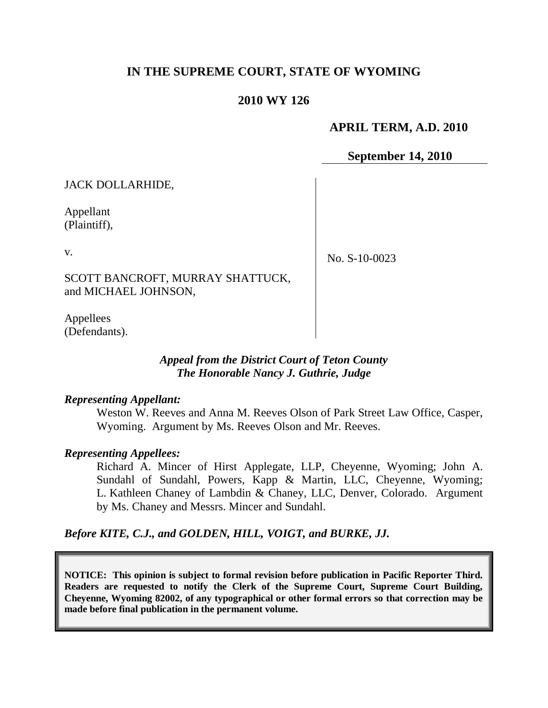# **IN THE SUPREME COURT, STATE OF WYOMING**

# **2010 WY 126**

### **APRIL TERM, A.D. 2010**

**September 14, 2010**

JACK DOLLARHIDE,

Appellant (Plaintiff),

v.

No. S-10-0023

SCOTT BANCROFT, MURRAY SHATTUCK, and MICHAEL JOHNSON,

Appellees (Defendants).

### *Appeal from the District Court of Teton County The Honorable Nancy J. Guthrie, Judge*

#### *Representing Appellant:*

Weston W. Reeves and Anna M. Reeves Olson of Park Street Law Office, Casper, Wyoming. Argument by Ms. Reeves Olson and Mr. Reeves.

### *Representing Appellees:*

Richard A. Mincer of Hirst Applegate, LLP, Cheyenne, Wyoming; John A. Sundahl of Sundahl, Powers, Kapp & Martin, LLC, Cheyenne, Wyoming; L. Kathleen Chaney of Lambdin & Chaney, LLC, Denver, Colorado. Argument by Ms. Chaney and Messrs. Mincer and Sundahl.

*Before KITE, C.J., and GOLDEN, HILL, VOIGT, and BURKE, JJ.*

**NOTICE: This opinion is subject to formal revision before publication in Pacific Reporter Third. Readers are requested to notify the Clerk of the Supreme Court, Supreme Court Building, Cheyenne, Wyoming 82002, of any typographical or other formal errors so that correction may be made before final publication in the permanent volume.**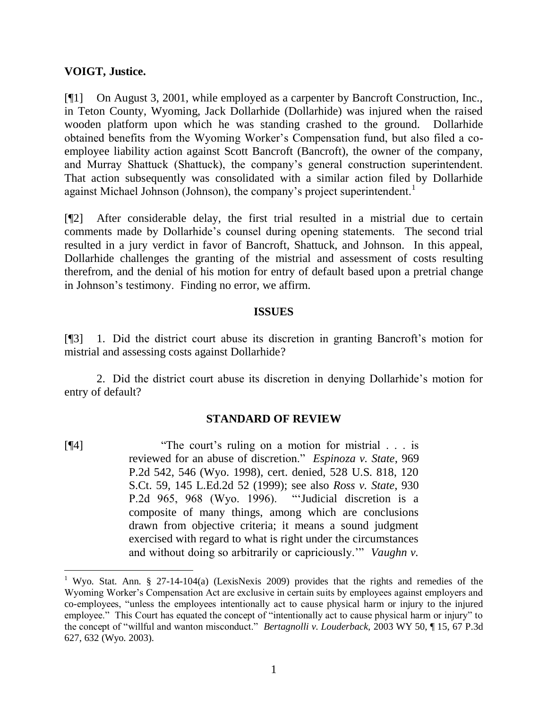### **VOIGT, Justice.**

[¶1] On August 3, 2001, while employed as a carpenter by Bancroft Construction, Inc., in Teton County, Wyoming, Jack Dollarhide (Dollarhide) was injured when the raised wooden platform upon which he was standing crashed to the ground. Dollarhide obtained benefits from the Wyoming Worker's Compensation fund, but also filed a coemployee liability action against Scott Bancroft (Bancroft), the owner of the company, and Murray Shattuck (Shattuck), the company's general construction superintendent. That action subsequently was consolidated with a similar action filed by Dollarhide against Michael Johnson (Johnson), the company's project superintendent.<sup>1</sup>

[¶2] After considerable delay, the first trial resulted in a mistrial due to certain comments made by Dollarhide's counsel during opening statements. The second trial resulted in a jury verdict in favor of Bancroft, Shattuck, and Johnson. In this appeal, Dollarhide challenges the granting of the mistrial and assessment of costs resulting therefrom, and the denial of his motion for entry of default based upon a pretrial change in Johnson's testimony. Finding no error, we affirm.

#### **ISSUES**

[¶3] 1. Did the district court abuse its discretion in granting Bancroft's motion for mistrial and assessing costs against Dollarhide?

2. Did the district court abuse its discretion in denying Dollarhide's motion for entry of default?

### **STANDARD OF REVIEW**

[¶4] • "The court's ruling on a motion for mistrial . . . is reviewed for an abuse of discretion." *Espinoza v. State*, 969 P.2d 542, 546 (Wyo. 1998), cert. denied, 528 U.S. 818, 120 S.Ct. 59, 145 L.Ed.2d 52 (1999); see also *Ross v. State*, 930 P.2d 965, 968 (Wyo. 1996). 
"Judicial discretion is a composite of many things, among which are conclusions drawn from objective criteria; it means a sound judgment exercised with regard to what is right under the circumstances and without doing so arbitrarily or capriciously." *Vaughn v.* 

<sup>&</sup>lt;sup>1</sup> Wyo. Stat. Ann. § 27-14-104(a) (LexisNexis 2009) provides that the rights and remedies of the Wyoming Worker's Compensation Act are exclusive in certain suits by employees against employers and co-employees, "unless the employees intentionally act to cause physical harm or injury to the injured employee." This Court has equated the concept of "intentionally act to cause physical harm or injury" to the concept of "willful and wanton misconduct." *Bertagnolli v. Louderback*, 2003 WY 50, ¶ 15, 67 P.3d 627, 632 (Wyo. 2003).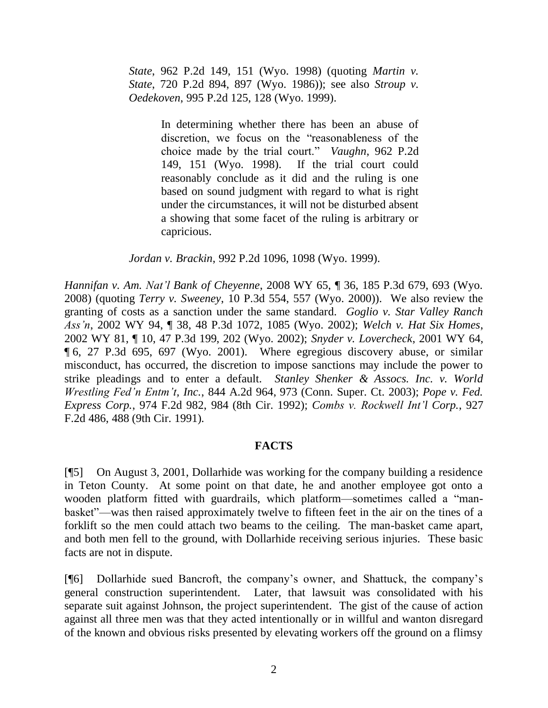*State*, 962 P.2d 149, 151 (Wyo. 1998) (quoting *Martin v. State*, 720 P.2d 894, 897 (Wyo. 1986)); see also *Stroup v. Oedekoven*, 995 P.2d 125, 128 (Wyo. 1999).

> In determining whether there has been an abuse of discretion, we focus on the "reasonableness of the choice made by the trial court." *Vaughn*, 962 P.2d 149, 151 (Wyo. 1998). If the trial court could reasonably conclude as it did and the ruling is one based on sound judgment with regard to what is right under the circumstances, it will not be disturbed absent a showing that some facet of the ruling is arbitrary or capricious.

*Jordan v. Brackin*, 992 P.2d 1096, 1098 (Wyo. 1999).

*Hannifan v. Am. Nat'l Bank of Cheyenne*, 2008 WY 65, ¶ 36, 185 P.3d 679, 693 (Wyo. 2008) (quoting *Terry v. Sweeney*, 10 P.3d 554, 557 (Wyo. 2000)). We also review the granting of costs as a sanction under the same standard. *Goglio v. Star Valley Ranch Ass'n*, 2002 WY 94, ¶ 38, 48 P.3d 1072, 1085 (Wyo. 2002); *Welch v. Hat Six Homes*, 2002 WY 81, ¶ 10, 47 P.3d 199, 202 (Wyo. 2002); *Snyder v. Lovercheck*, 2001 WY 64, ¶ 6, 27 P.3d 695, 697 (Wyo. 2001). Where egregious discovery abuse, or similar misconduct, has occurred, the discretion to impose sanctions may include the power to strike pleadings and to enter a default. *Stanley Shenker & Assocs. Inc. v. World Wrestling Fed'n Entm't, Inc.*, 844 A.2d 964, 973 (Conn. Super. Ct. 2003); *Pope v. Fed. Express Corp.*, 974 F.2d 982, 984 (8th Cir. 1992); *Combs v. Rockwell Int'l Corp.*, 927 F.2d 486, 488 (9th Cir. 1991).

### **FACTS**

[¶5] On August 3, 2001, Dollarhide was working for the company building a residence in Teton County. At some point on that date, he and another employee got onto a wooden platform fitted with guardrails, which platform—sometimes called a "manbasket"—was then raised approximately twelve to fifteen feet in the air on the tines of a forklift so the men could attach two beams to the ceiling. The man-basket came apart, and both men fell to the ground, with Dollarhide receiving serious injuries. These basic facts are not in dispute.

[¶6] Dollarhide sued Bancroft, the company's owner, and Shattuck, the company's general construction superintendent. Later, that lawsuit was consolidated with his separate suit against Johnson, the project superintendent. The gist of the cause of action against all three men was that they acted intentionally or in willful and wanton disregard of the known and obvious risks presented by elevating workers off the ground on a flimsy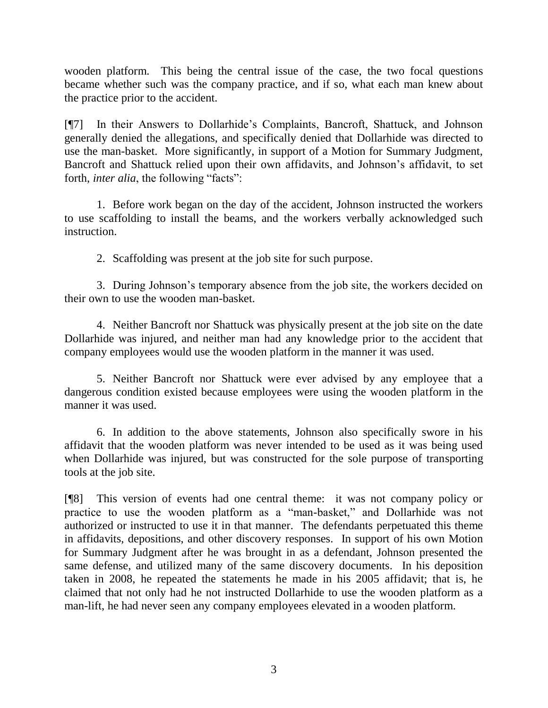wooden platform. This being the central issue of the case, the two focal questions became whether such was the company practice, and if so, what each man knew about the practice prior to the accident.

[¶7] In their Answers to Dollarhide's Complaints, Bancroft, Shattuck, and Johnson generally denied the allegations, and specifically denied that Dollarhide was directed to use the man-basket. More significantly, in support of a Motion for Summary Judgment, Bancroft and Shattuck relied upon their own affidavits, and Johnson's affidavit, to set forth, *inter alia*, the following "facts":

1. Before work began on the day of the accident, Johnson instructed the workers to use scaffolding to install the beams, and the workers verbally acknowledged such instruction.

2. Scaffolding was present at the job site for such purpose.

3. During Johnson's temporary absence from the job site, the workers decided on their own to use the wooden man-basket.

4. Neither Bancroft nor Shattuck was physically present at the job site on the date Dollarhide was injured, and neither man had any knowledge prior to the accident that company employees would use the wooden platform in the manner it was used.

5. Neither Bancroft nor Shattuck were ever advised by any employee that a dangerous condition existed because employees were using the wooden platform in the manner it was used.

6. In addition to the above statements, Johnson also specifically swore in his affidavit that the wooden platform was never intended to be used as it was being used when Dollarhide was injured, but was constructed for the sole purpose of transporting tools at the job site.

[¶8] This version of events had one central theme: it was not company policy or practice to use the wooden platform as a "man-basket," and Dollarhide was not authorized or instructed to use it in that manner. The defendants perpetuated this theme in affidavits, depositions, and other discovery responses. In support of his own Motion for Summary Judgment after he was brought in as a defendant, Johnson presented the same defense, and utilized many of the same discovery documents. In his deposition taken in 2008, he repeated the statements he made in his 2005 affidavit; that is, he claimed that not only had he not instructed Dollarhide to use the wooden platform as a man-lift, he had never seen any company employees elevated in a wooden platform.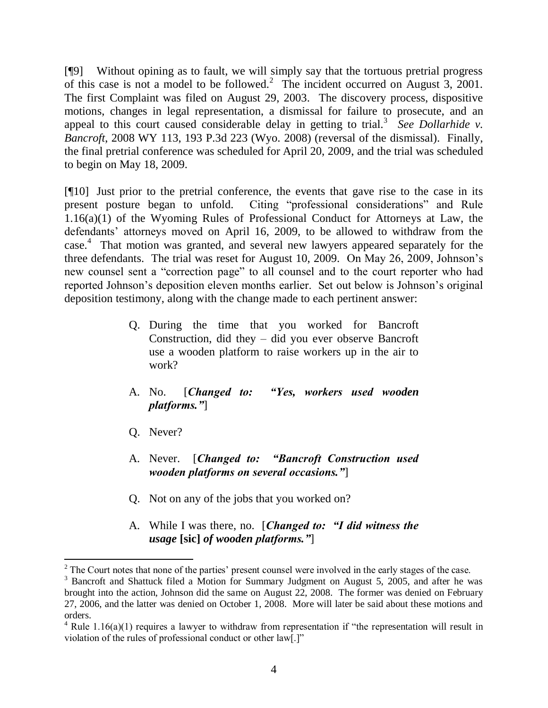[¶9] Without opining as to fault, we will simply say that the tortuous pretrial progress of this case is not a model to be followed.<sup>2</sup> The incident occurred on August  $3$ , 2001. The first Complaint was filed on August 29, 2003. The discovery process, dispositive motions, changes in legal representation, a dismissal for failure to prosecute, and an appeal to this court caused considerable delay in getting to trial.<sup>3</sup> See Dollarhide v. *Bancroft*, 2008 WY 113, 193 P.3d 223 (Wyo. 2008) (reversal of the dismissal). Finally, the final pretrial conference was scheduled for April 20, 2009, and the trial was scheduled to begin on May 18, 2009.

[¶10] Just prior to the pretrial conference, the events that gave rise to the case in its present posture began to unfold. Citing "professional considerations" and Rule  $1.16(a)(1)$  of the Wyoming Rules of Professional Conduct for Attorneys at Law, the defendants' attorneys moved on April 16, 2009, to be allowed to withdraw from the case. 4 That motion was granted, and several new lawyers appeared separately for the three defendants. The trial was reset for August 10, 2009. On May 26, 2009, Johnson's new counsel sent a "correction page" to all counsel and to the court reporter who had reported Johnson's deposition eleven months earlier. Set out below is Johnson's original deposition testimony, along with the change made to each pertinent answer:

- Q. During the time that you worked for Bancroft Construction, did they – did you ever observe Bancroft use a wooden platform to raise workers up in the air to work?
- A. No. [*Changed to: "Yes, workers used wooden platforms."*]
- Q. Never?

- A. Never. [*Changed to: "Bancroft Construction used wooden platforms on several occasions."*]
- Q. Not on any of the jobs that you worked on?
- A. While I was there, no. [*Changed to: "I did witness the usage* **[sic]** *of wooden platforms."*]

 $2^2$  The Court notes that none of the parties' present counsel were involved in the early stages of the case.

<sup>&</sup>lt;sup>3</sup> Bancroft and Shattuck filed a Motion for Summary Judgment on August 5, 2005, and after he was brought into the action, Johnson did the same on August 22, 2008. The former was denied on February 27, 2006, and the latter was denied on October 1, 2008. More will later be said about these motions and orders.

 $4$  Rule 1.16(a)(1) requires a lawyer to withdraw from representation if "the representation will result in violation of the rules of professional conduct or other law[.]"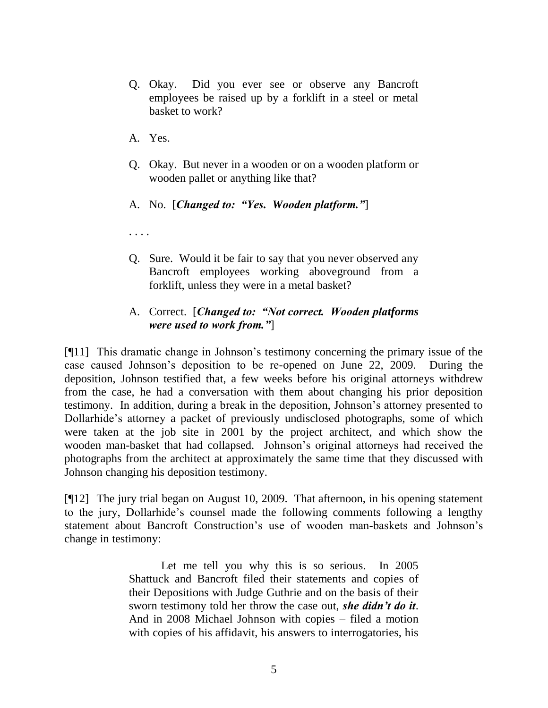- Q. Okay. Did you ever see or observe any Bancroft employees be raised up by a forklift in a steel or metal basket to work?
- A. Yes.
- Q. Okay. But never in a wooden or on a wooden platform or wooden pallet or anything like that?
- A. No. [*Changed to: "Yes. Wooden platform."*]
- . . . .
- Q. Sure. Would it be fair to say that you never observed any Bancroft employees working aboveground from a forklift, unless they were in a metal basket?

# A. Correct. [*Changed to: "Not correct. Wooden platforms were used to work from."*]

[¶11] This dramatic change in Johnson's testimony concerning the primary issue of the case caused Johnson's deposition to be re-opened on June 22, 2009. During the deposition, Johnson testified that, a few weeks before his original attorneys withdrew from the case, he had a conversation with them about changing his prior deposition testimony. In addition, during a break in the deposition, Johnson's attorney presented to Dollarhide's attorney a packet of previously undisclosed photographs, some of which were taken at the job site in 2001 by the project architect, and which show the wooden man-basket that had collapsed. Johnson's original attorneys had received the photographs from the architect at approximately the same time that they discussed with Johnson changing his deposition testimony.

[¶12] The jury trial began on August 10, 2009. That afternoon, in his opening statement to the jury, Dollarhide's counsel made the following comments following a lengthy statement about Bancroft Construction's use of wooden man-baskets and Johnson's change in testimony:

> Let me tell you why this is so serious. In 2005 Shattuck and Bancroft filed their statements and copies of their Depositions with Judge Guthrie and on the basis of their sworn testimony told her throw the case out, *she didn't do it*. And in 2008 Michael Johnson with copies – filed a motion with copies of his affidavit, his answers to interrogatories, his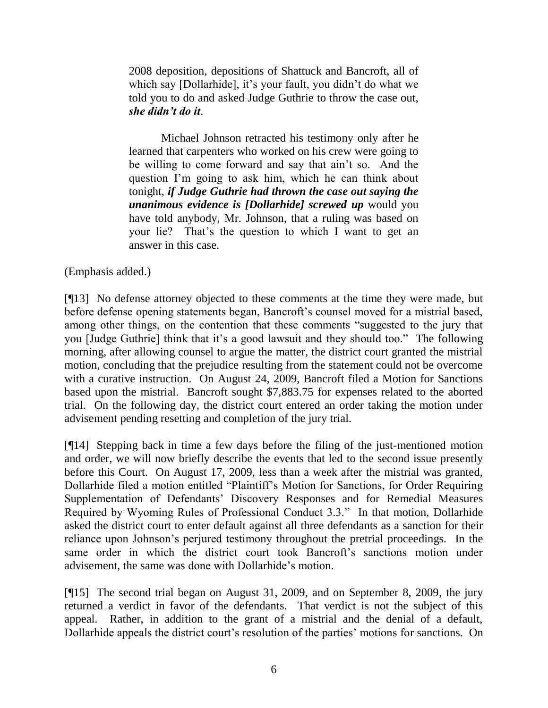2008 deposition, depositions of Shattuck and Bancroft, all of which say [Dollarhide], it's your fault, you didn't do what we told you to do and asked Judge Guthrie to throw the case out, *she didn't do it*.

Michael Johnson retracted his testimony only after he learned that carpenters who worked on his crew were going to be willing to come forward and say that ain't so. And the question I'm going to ask him, which he can think about tonight, *if Judge Guthrie had thrown the case out saying the unanimous evidence is [Dollarhide] screwed up* would you have told anybody, Mr. Johnson, that a ruling was based on your lie? That's the question to which I want to get an answer in this case.

(Emphasis added.)

[¶13] No defense attorney objected to these comments at the time they were made, but before defense opening statements began, Bancroft's counsel moved for a mistrial based, among other things, on the contention that these comments "suggested to the jury that you [Judge Guthrie] think that it's a good lawsuit and they should too." The following morning, after allowing counsel to argue the matter, the district court granted the mistrial motion, concluding that the prejudice resulting from the statement could not be overcome with a curative instruction. On August 24, 2009, Bancroft filed a Motion for Sanctions based upon the mistrial. Bancroft sought \$7,883.75 for expenses related to the aborted trial. On the following day, the district court entered an order taking the motion under advisement pending resetting and completion of the jury trial.

[¶14] Stepping back in time a few days before the filing of the just-mentioned motion and order, we will now briefly describe the events that led to the second issue presently before this Court. On August 17, 2009, less than a week after the mistrial was granted, Dollarhide filed a motion entitled "Plaintiff's Motion for Sanctions, for Order Requiring Supplementation of Defendants' Discovery Responses and for Remedial Measures Required by Wyoming Rules of Professional Conduct 3.3." In that motion, Dollarhide asked the district court to enter default against all three defendants as a sanction for their reliance upon Johnson's perjured testimony throughout the pretrial proceedings. In the same order in which the district court took Bancroft's sanctions motion under advisement, the same was done with Dollarhide's motion.

[¶15] The second trial began on August 31, 2009, and on September 8, 2009, the jury returned a verdict in favor of the defendants. That verdict is not the subject of this appeal. Rather, in addition to the grant of a mistrial and the denial of a default, Dollarhide appeals the district court's resolution of the parties' motions for sanctions. On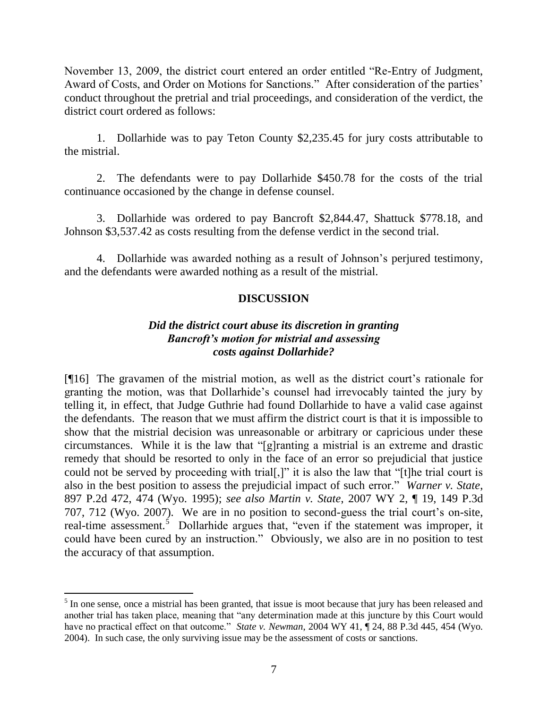November 13, 2009, the district court entered an order entitled "Re-Entry of Judgment, Award of Costs, and Order on Motions for Sanctions." After consideration of the parties' conduct throughout the pretrial and trial proceedings, and consideration of the verdict, the district court ordered as follows:

1. Dollarhide was to pay Teton County \$2,235.45 for jury costs attributable to the mistrial.

2. The defendants were to pay Dollarhide \$450.78 for the costs of the trial continuance occasioned by the change in defense counsel.

3. Dollarhide was ordered to pay Bancroft \$2,844.47, Shattuck \$778.18, and Johnson \$3,537.42 as costs resulting from the defense verdict in the second trial.

4. Dollarhide was awarded nothing as a result of Johnson's perjured testimony, and the defendants were awarded nothing as a result of the mistrial.

# **DISCUSSION**

## *Did the district court abuse its discretion in granting Bancroft's motion for mistrial and assessing costs against Dollarhide?*

[¶16] The gravamen of the mistrial motion, as well as the district court's rationale for granting the motion, was that Dollarhide's counsel had irrevocably tainted the jury by telling it, in effect, that Judge Guthrie had found Dollarhide to have a valid case against the defendants. The reason that we must affirm the district court is that it is impossible to show that the mistrial decision was unreasonable or arbitrary or capricious under these circumstances. While it is the law that "[g]ranting a mistrial is an extreme and drastic remedy that should be resorted to only in the face of an error so prejudicial that justice could not be served by proceeding with trial[,]" it is also the law that "[t]he trial court is also in the best position to assess the prejudicial impact of such error." *Warner v. State*, 897 P.2d 472, 474 (Wyo. 1995); *see also Martin v. State*, 2007 WY 2, ¶ 19, 149 P.3d 707, 712 (Wyo. 2007). We are in no position to second-guess the trial court's on-site, real-time assessment.<sup>5</sup> Dollarhide argues that, "even if the statement was improper, it could have been cured by an instruction." Obviously, we also are in no position to test the accuracy of that assumption.

<sup>&</sup>lt;sup>5</sup> In one sense, once a mistrial has been granted, that issue is moot because that jury has been released and another trial has taken place, meaning that "any determination made at this juncture by this Court would have no practical effect on that outcome." *State v. Newman*, 2004 WY 41, ¶ 24, 88 P.3d 445, 454 (Wyo. 2004). In such case, the only surviving issue may be the assessment of costs or sanctions.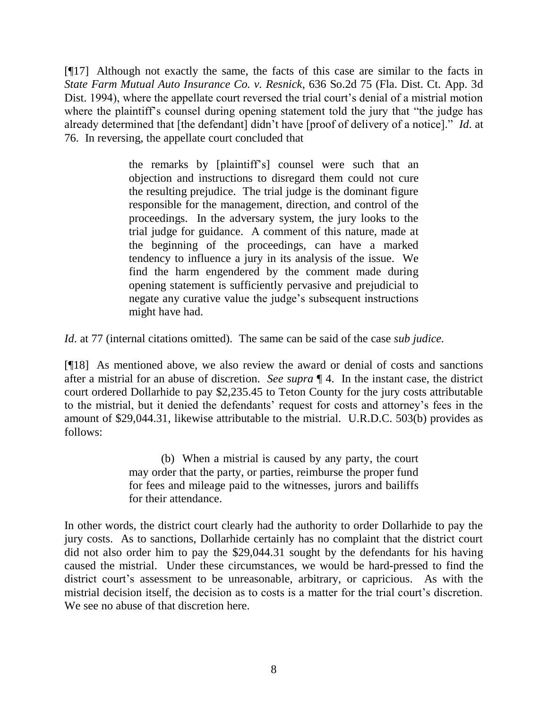[¶17] Although not exactly the same, the facts of this case are similar to the facts in *State Farm Mutual Auto Insurance Co. v. Resnick*, 636 So.2d 75 (Fla. Dist. Ct. App. 3d Dist. 1994), where the appellate court reversed the trial court's denial of a mistrial motion where the plaintiff's counsel during opening statement told the jury that "the judge has already determined that [the defendant] didn't have [proof of delivery of a notice]." *Id.* at 76. In reversing, the appellate court concluded that

> the remarks by [plaintiff's] counsel were such that an objection and instructions to disregard them could not cure the resulting prejudice. The trial judge is the dominant figure responsible for the management, direction, and control of the proceedings. In the adversary system, the jury looks to the trial judge for guidance. A comment of this nature, made at the beginning of the proceedings, can have a marked tendency to influence a jury in its analysis of the issue. We find the harm engendered by the comment made during opening statement is sufficiently pervasive and prejudicial to negate any curative value the judge's subsequent instructions might have had.

*Id*. at 77 (internal citations omitted). The same can be said of the case *sub judice*.

[¶18] As mentioned above, we also review the award or denial of costs and sanctions after a mistrial for an abuse of discretion. *See supra* ¶ 4. In the instant case, the district court ordered Dollarhide to pay \$2,235.45 to Teton County for the jury costs attributable to the mistrial, but it denied the defendants' request for costs and attorney's fees in the amount of \$29,044.31, likewise attributable to the mistrial. U.R.D.C. 503(b) provides as follows:

> (b) When a mistrial is caused by any party, the court may order that the party, or parties, reimburse the proper fund for fees and mileage paid to the witnesses, jurors and bailiffs for their attendance.

In other words, the district court clearly had the authority to order Dollarhide to pay the jury costs. As to sanctions, Dollarhide certainly has no complaint that the district court did not also order him to pay the \$29,044.31 sought by the defendants for his having caused the mistrial. Under these circumstances, we would be hard-pressed to find the district court's assessment to be unreasonable, arbitrary, or capricious. As with the mistrial decision itself, the decision as to costs is a matter for the trial court's discretion. We see no abuse of that discretion here.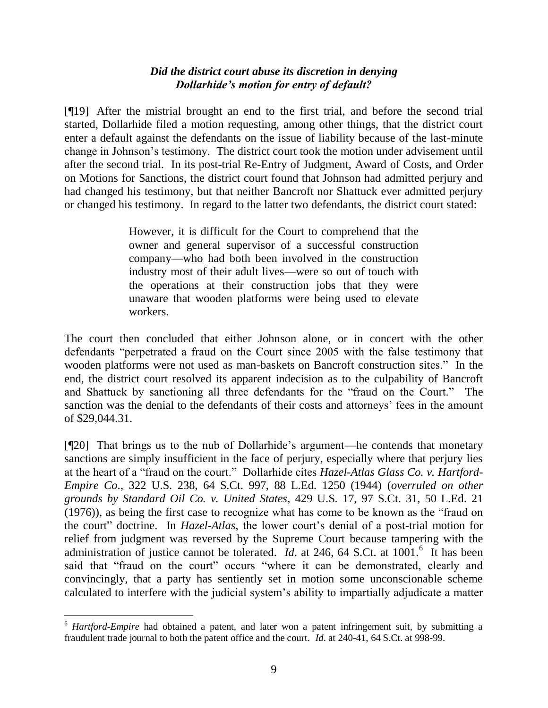# *Did the district court abuse its discretion in denying Dollarhide's motion for entry of default?*

[¶19] After the mistrial brought an end to the first trial, and before the second trial started, Dollarhide filed a motion requesting, among other things, that the district court enter a default against the defendants on the issue of liability because of the last-minute change in Johnson's testimony. The district court took the motion under advisement until after the second trial. In its post-trial Re-Entry of Judgment, Award of Costs, and Order on Motions for Sanctions, the district court found that Johnson had admitted perjury and had changed his testimony, but that neither Bancroft nor Shattuck ever admitted perjury or changed his testimony. In regard to the latter two defendants, the district court stated:

> However, it is difficult for the Court to comprehend that the owner and general supervisor of a successful construction company—who had both been involved in the construction industry most of their adult lives—were so out of touch with the operations at their construction jobs that they were unaware that wooden platforms were being used to elevate workers.

The court then concluded that either Johnson alone, or in concert with the other defendants "perpetrated a fraud on the Court since 2005 with the false testimony that wooden platforms were not used as man-baskets on Bancroft construction sites." In the end, the district court resolved its apparent indecision as to the culpability of Bancroft and Shattuck by sanctioning all three defendants for the "fraud on the Court." The sanction was the denial to the defendants of their costs and attorneys' fees in the amount of \$29,044.31.

[¶20] That brings us to the nub of Dollarhide's argument—he contends that monetary sanctions are simply insufficient in the face of perjury, especially where that perjury lies at the heart of a "fraud on the court." Dollarhide cites *Hazel-Atlas Glass Co. v. Hartford-Empire Co*., 322 U.S. 238, 64 S.Ct. 997, 88 L.Ed. 1250 (1944) (*overruled on other grounds by Standard Oil Co. v. United States*, 429 U.S. 17, 97 S.Ct. 31, 50 L.Ed. 21  $(1976)$ , as being the first case to recognize what has come to be known as the "fraud on the court" doctrine. In *Hazel-Atlas*, the lower court's denial of a post-trial motion for relief from judgment was reversed by the Supreme Court because tampering with the administration of justice cannot be tolerated.  $Id$ . at 246, 64 S.Ct. at 1001.<sup>6</sup> It has been said that "fraud on the court" occurs "where it can be demonstrated, clearly and convincingly, that a party has sentiently set in motion some unconscionable scheme calculated to interfere with the judicial system's ability to impartially adjudicate a matter

<sup>6</sup> *Hartford-Empire* had obtained a patent, and later won a patent infringement suit, by submitting a fraudulent trade journal to both the patent office and the court. *Id*. at 240-41, 64 S.Ct. at 998-99.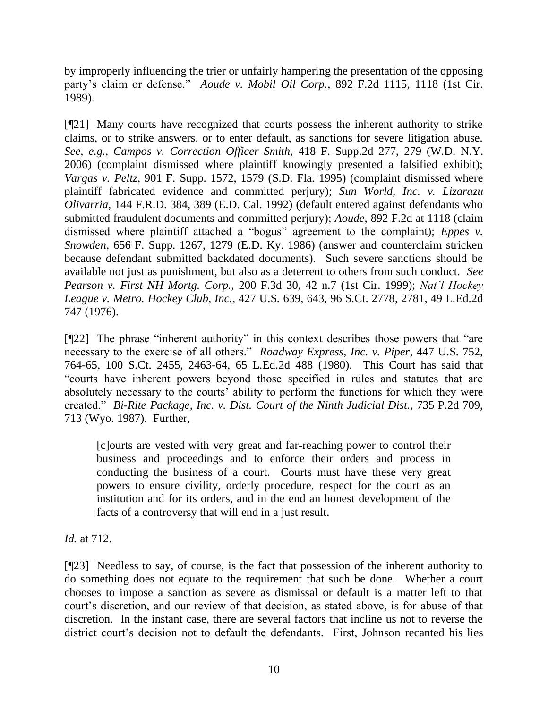by improperly influencing the trier or unfairly hampering the presentation of the opposing party's claim or defense." *Aoude v. Mobil Oil Corp.*, 892 F.2d 1115, 1118 (1st Cir. 1989).

[¶21] Many courts have recognized that courts possess the inherent authority to strike claims, or to strike answers, or to enter default, as sanctions for severe litigation abuse. *See, e.g., Campos v. Correction Officer Smith*, 418 F. Supp.2d 277, 279 (W.D. N.Y. 2006) (complaint dismissed where plaintiff knowingly presented a falsified exhibit); *Vargas v. Peltz*, 901 F. Supp. 1572, 1579 (S.D. Fla. 1995) (complaint dismissed where plaintiff fabricated evidence and committed perjury); *Sun World, Inc. v. Lizarazu Olivarria*, 144 F.R.D. 384, 389 (E.D. Cal. 1992) (default entered against defendants who submitted fraudulent documents and committed perjury); *Aoude*, 892 F.2d at 1118 (claim dismissed where plaintiff attached a "bogus" agreement to the complaint); *Eppes v. Snowden*, 656 F. Supp. 1267, 1279 (E.D. Ky. 1986) (answer and counterclaim stricken because defendant submitted backdated documents). Such severe sanctions should be available not just as punishment, but also as a deterrent to others from such conduct. *See Pearson v. First NH Mortg. Corp.*, 200 F.3d 30, 42 n.7 (1st Cir. 1999); *Nat'l Hockey League v. Metro. Hockey Club, Inc.*, 427 U.S. 639, 643, 96 S.Ct. 2778, 2781, 49 L.Ed.2d 747 (1976).

 $[\P{22}]$  The phrase "inherent authority" in this context describes those powers that "are necessary to the exercise of all others." *Roadway Express, Inc. v. Piper*, 447 U.S. 752, 764-65, 100 S.Ct. 2455, 2463-64, 65 L.Ed.2d 488 (1980). This Court has said that ―courts have inherent powers beyond those specified in rules and statutes that are absolutely necessary to the courts' ability to perform the functions for which they were created.‖ *Bi-Rite Package, Inc. v. Dist. Court of the Ninth Judicial Dist.*, 735 P.2d 709, 713 (Wyo. 1987). Further,

[c]ourts are vested with very great and far-reaching power to control their business and proceedings and to enforce their orders and process in conducting the business of a court. Courts must have these very great powers to ensure civility, orderly procedure, respect for the court as an institution and for its orders, and in the end an honest development of the facts of a controversy that will end in a just result.

*Id.* at 712.

[¶23] Needless to say, of course, is the fact that possession of the inherent authority to do something does not equate to the requirement that such be done. Whether a court chooses to impose a sanction as severe as dismissal or default is a matter left to that court's discretion, and our review of that decision, as stated above, is for abuse of that discretion. In the instant case, there are several factors that incline us not to reverse the district court's decision not to default the defendants. First, Johnson recanted his lies